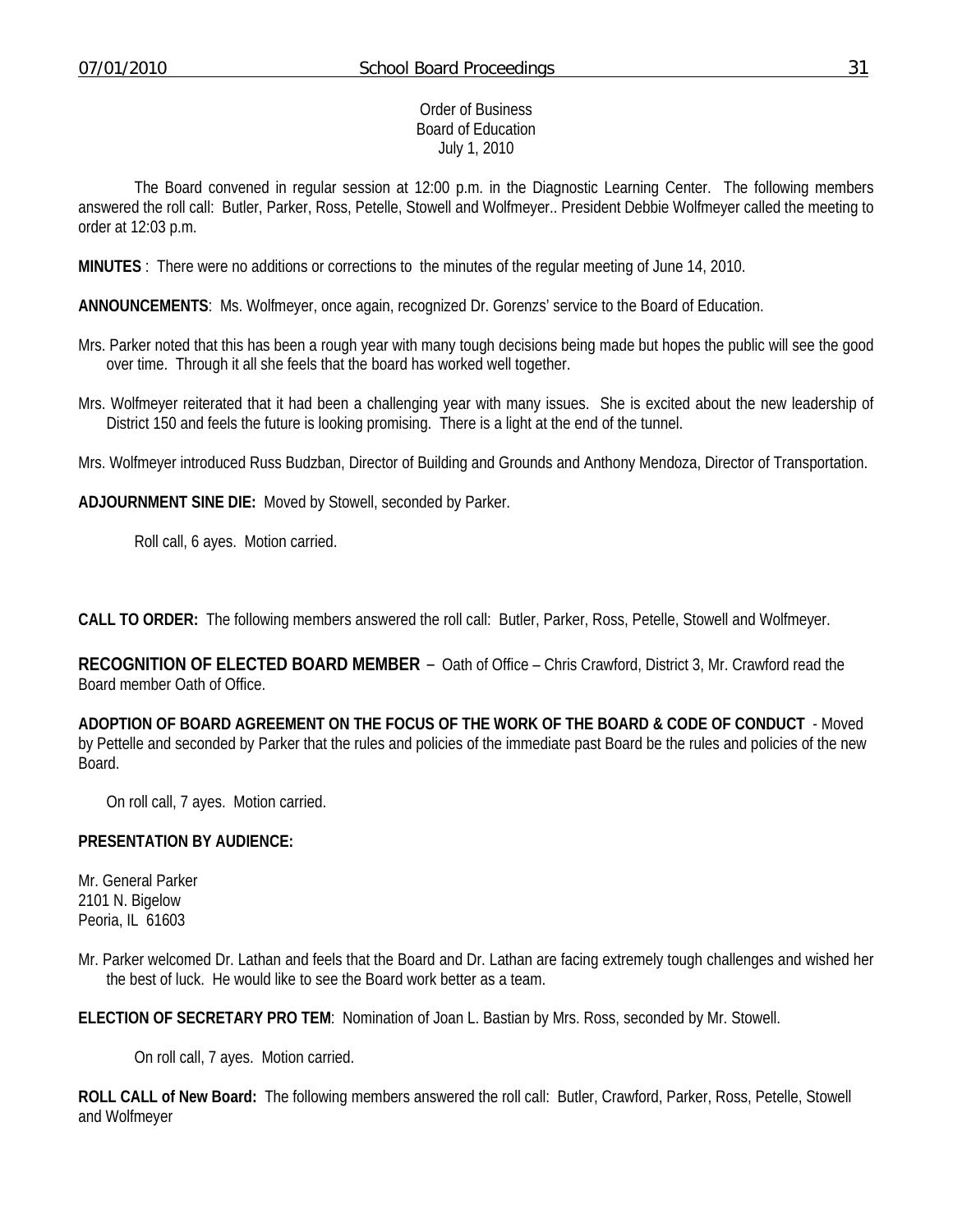#### Order of Business Board of Education July 1, 2010

 The Board convened in regular session at 12:00 p.m. in the Diagnostic Learning Center. The following members answered the roll call: Butler, Parker, Ross, Petelle, Stowell and Wolfmeyer.. President Debbie Wolfmeyer called the meeting to order at 12:03 p.m.

**MINUTES** : There were no additions or corrections to the minutes of the regular meeting of June 14, 2010.

**ANNOUNCEMENTS**: Ms. Wolfmeyer, once again, recognized Dr. Gorenzs' service to the Board of Education.

- Mrs. Parker noted that this has been a rough year with many tough decisions being made but hopes the public will see the good over time. Through it all she feels that the board has worked well together.
- Mrs. Wolfmeyer reiterated that it had been a challenging year with many issues. She is excited about the new leadership of District 150 and feels the future is looking promising. There is a light at the end of the tunnel.

Mrs. Wolfmeyer introduced Russ Budzban, Director of Building and Grounds and Anthony Mendoza, Director of Transportation.

**ADJOURNMENT SINE DIE:** Moved by Stowell, seconded by Parker.

Roll call, 6 ayes. Motion carried.

**CALL TO ORDER:** The following members answered the roll call: Butler, Parker, Ross, Petelle, Stowell and Wolfmeyer.

**RECOGNITION OF ELECTED BOARD MEMBER** – Oath of Office – Chris Crawford, District 3, Mr. Crawford read the Board member Oath of Office.

**ADOPTION OF BOARD AGREEMENT ON THE FOCUS OF THE WORK OF THE BOARD & CODE OF CONDUCT** - Moved by Pettelle and seconded by Parker that the rules and policies of the immediate past Board be the rules and policies of the new Board.

On roll call, 7 ayes. Motion carried.

### **PRESENTATION BY AUDIENCE:**

Mr. General Parker 2101 N. Bigelow Peoria, IL 61603

Mr. Parker welcomed Dr. Lathan and feels that the Board and Dr. Lathan are facing extremely tough challenges and wished her the best of luck. He would like to see the Board work better as a team.

**ELECTION OF SECRETARY PRO TEM**: Nomination of Joan L. Bastian by Mrs. Ross, seconded by Mr. Stowell.

On roll call, 7 ayes. Motion carried.

**ROLL CALL of New Board:** The following members answered the roll call: Butler, Crawford, Parker, Ross, Petelle, Stowell and Wolfmeyer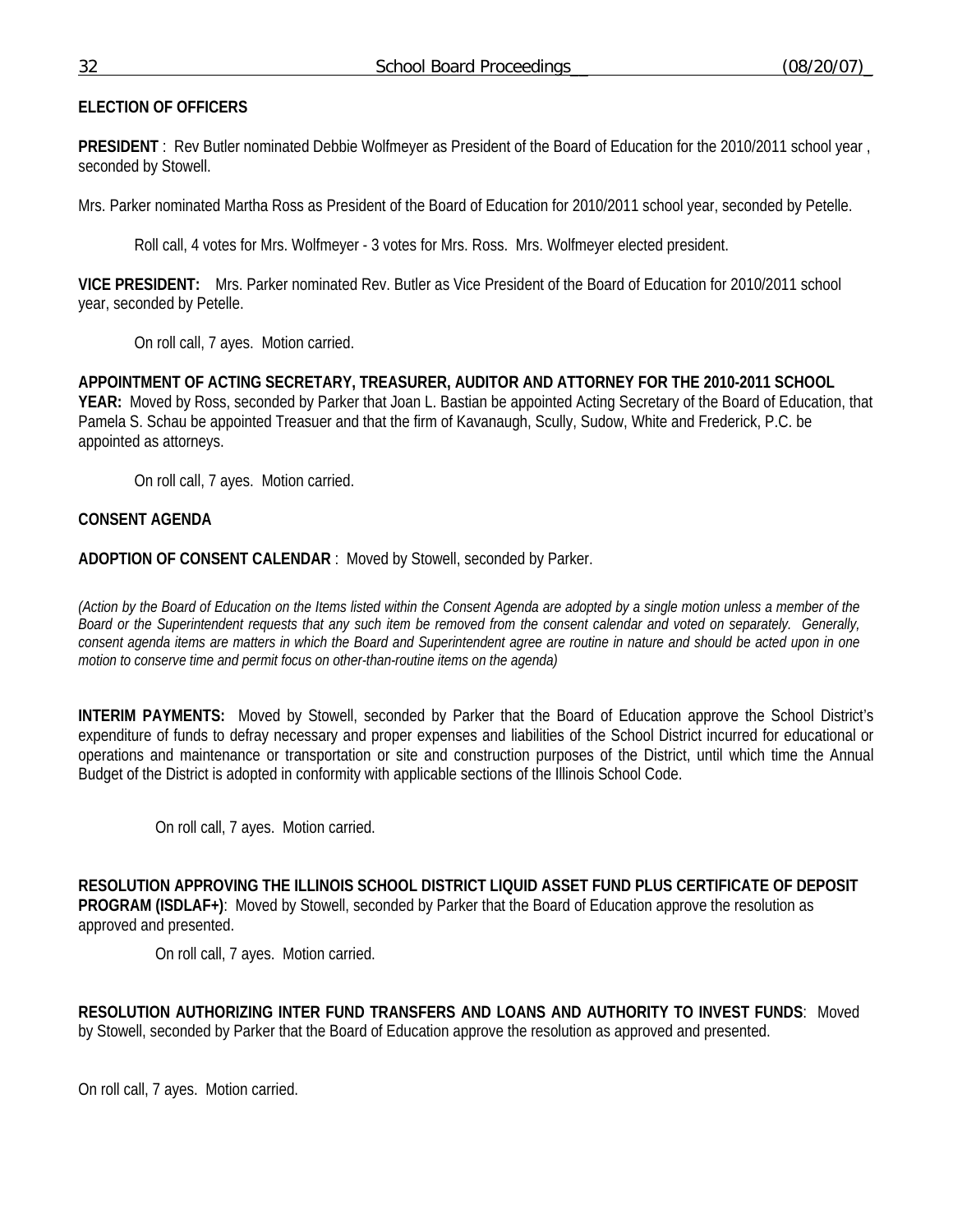### 32 School Board Proceedings\_\_ (08/20/07)\_

# **ELECTION OF OFFICERS**

**PRESIDENT** : Rev Butler nominated Debbie Wolfmeyer as President of the Board of Education for the 2010/2011 school year , seconded by Stowell.

Mrs. Parker nominated Martha Ross as President of the Board of Education for 2010/2011 school year, seconded by Petelle.

Roll call, 4 votes for Mrs. Wolfmeyer - 3 votes for Mrs. Ross. Mrs. Wolfmeyer elected president.

**VICE PRESIDENT:** Mrs. Parker nominated Rev. Butler as Vice President of the Board of Education for 2010/2011 school year, seconded by Petelle.

On roll call, 7 ayes. Motion carried.

**APPOINTMENT OF ACTING SECRETARY, TREASURER, AUDITOR AND ATTORNEY FOR THE 2010-2011 SCHOOL YEAR:** Moved by Ross, seconded by Parker that Joan L. Bastian be appointed Acting Secretary of the Board of Education, that Pamela S. Schau be appointed Treasuer and that the firm of Kavanaugh, Scully, Sudow, White and Frederick, P.C. be appointed as attorneys.

On roll call, 7 ayes. Motion carried.

# **CONSENT AGENDA**

**ADOPTION OF CONSENT CALENDAR** : Moved by Stowell, seconded by Parker.

*(Action by the Board of Education on the Items listed within the Consent Agenda are adopted by a single motion unless a member of the Board or the Superintendent requests that any such item be removed from the consent calendar and voted on separately. Generally, consent agenda items are matters in which the Board and Superintendent agree are routine in nature and should be acted upon in one motion to conserve time and permit focus on other-than-routine items on the agenda)* 

**INTERIM PAYMENTS:** Moved by Stowell, seconded by Parker that the Board of Education approve the School District's expenditure of funds to defray necessary and proper expenses and liabilities of the School District incurred for educational or operations and maintenance or transportation or site and construction purposes of the District, until which time the Annual Budget of the District is adopted in conformity with applicable sections of the Illinois School Code.

On roll call, 7 ayes. Motion carried.

**RESOLUTION APPROVING THE ILLINOIS SCHOOL DISTRICT LIQUID ASSET FUND PLUS CERTIFICATE OF DEPOSIT PROGRAM (ISDLAF+)**: Moved by Stowell, seconded by Parker that the Board of Education approve the resolution as approved and presented.

On roll call, 7 ayes. Motion carried.

**RESOLUTION AUTHORIZING INTER FUND TRANSFERS AND LOANS AND AUTHORITY TO INVEST FUNDS**: Moved by Stowell, seconded by Parker that the Board of Education approve the resolution as approved and presented.

On roll call, 7 ayes. Motion carried.